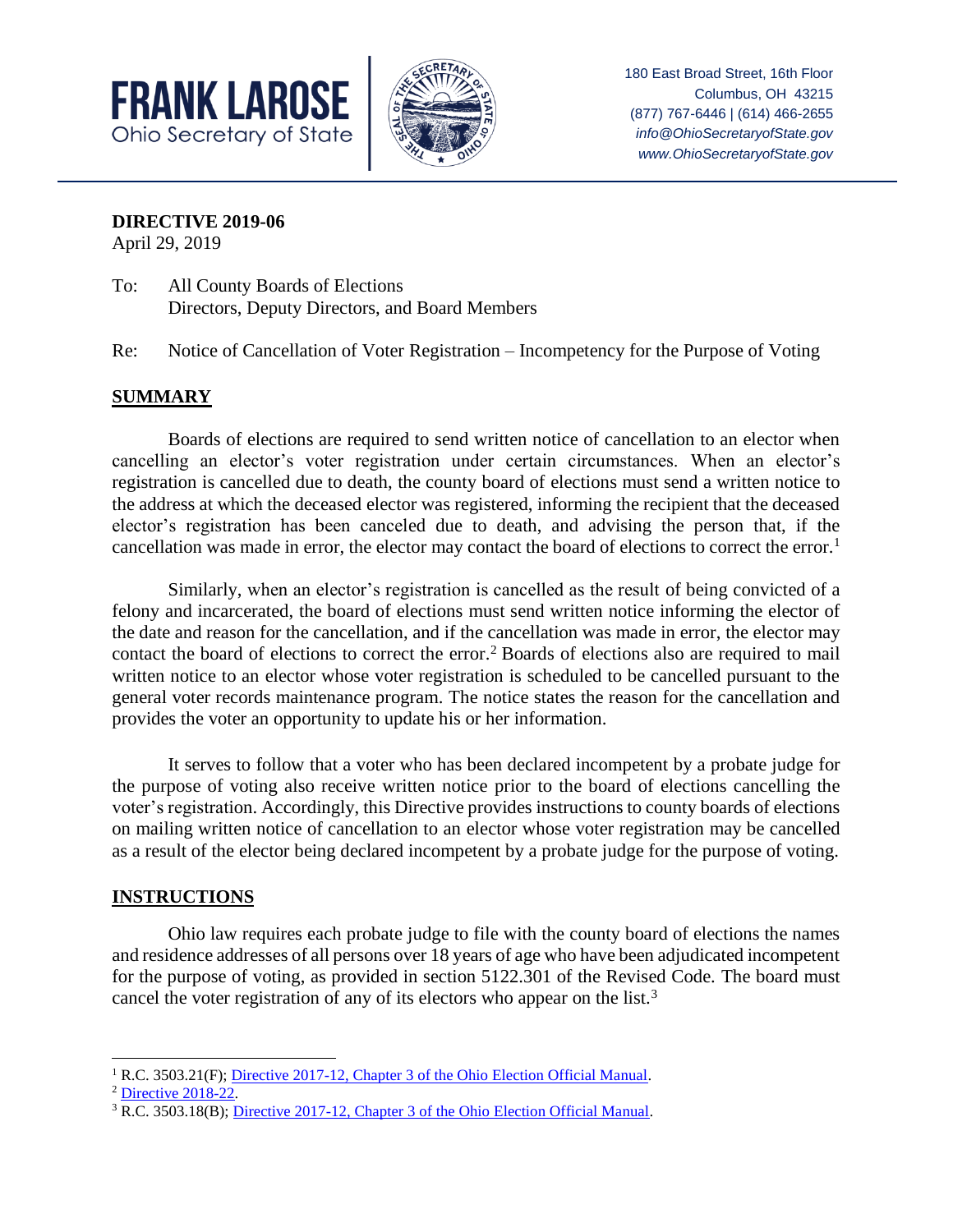



Columbus, OH 43215 (877) 767-6446 | (614) 466-2655 *info@OhioSecretaryofState.gov www.OhioSecretaryofState.gov*

**DIRECTIVE 2019-06**

April 29, 2019

- To: All County Boards of Elections Directors, Deputy Directors, and Board Members
- Re: Notice of Cancellation of Voter Registration Incompetency for the Purpose of Voting

## **SUMMARY**

Boards of elections are required to send written notice of cancellation to an elector when cancelling an elector's voter registration under certain circumstances. When an elector's registration is cancelled due to death, the county board of elections must send a written notice to the address at which the deceased elector was registered, informing the recipient that the deceased elector's registration has been canceled due to death, and advising the person that, if the cancellation was made in error, the elector may contact the board of elections to correct the error.<sup>1</sup>

Similarly, when an elector's registration is cancelled as the result of being convicted of a felony and incarcerated, the board of elections must send written notice informing the elector of the date and reason for the cancellation, and if the cancellation was made in error, the elector may contact the board of elections to correct the error.<sup>2</sup> Boards of elections also are required to mail written notice to an elector whose voter registration is scheduled to be cancelled pursuant to the general voter records maintenance program. The notice states the reason for the cancellation and provides the voter an opportunity to update his or her information.

It serves to follow that a voter who has been declared incompetent by a probate judge for the purpose of voting also receive written notice prior to the board of elections cancelling the voter's registration. Accordingly, this Directive provides instructions to county boards of elections on mailing written notice of cancellation to an elector whose voter registration may be cancelled as a result of the elector being declared incompetent by a probate judge for the purpose of voting.

## **INSTRUCTIONS**

Ohio law requires each probate judge to file with the county board of elections the names and residence addresses of all persons over 18 years of age who have been adjudicated incompetent for the purpose of voting, as provided in section 5122.301 of the Revised Code. The board must cancel the voter registration of any of its electors who appear on the list.<sup>3</sup>

 $\overline{\phantom{a}}$ <sup>1</sup> R.C. 3503.21(F)[; Directive 2017-12, Chapter 3 of the Ohio Election Official Manual.](https://www.sos.state.oh.us/globalassets/elections/directives/2017/dir2017-12_eom_ch_03.pdf)

<sup>2</sup> [Directive 2018-22.](https://www.sos.state.oh.us/globalassets/elections/directives/2018/dir2018-22.pdf)

<sup>3</sup> R.C. 3503.18(B)[; Directive 2017-12, Chapter 3 of the Ohio Election Official Manual.](https://www.sos.state.oh.us/globalassets/elections/directives/2017/dir2017-12_eom_ch_03.pdf)